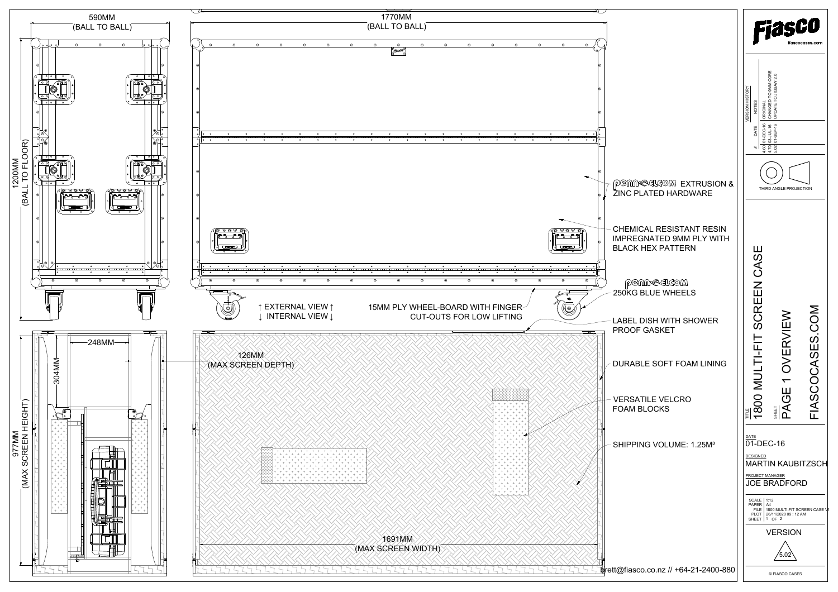